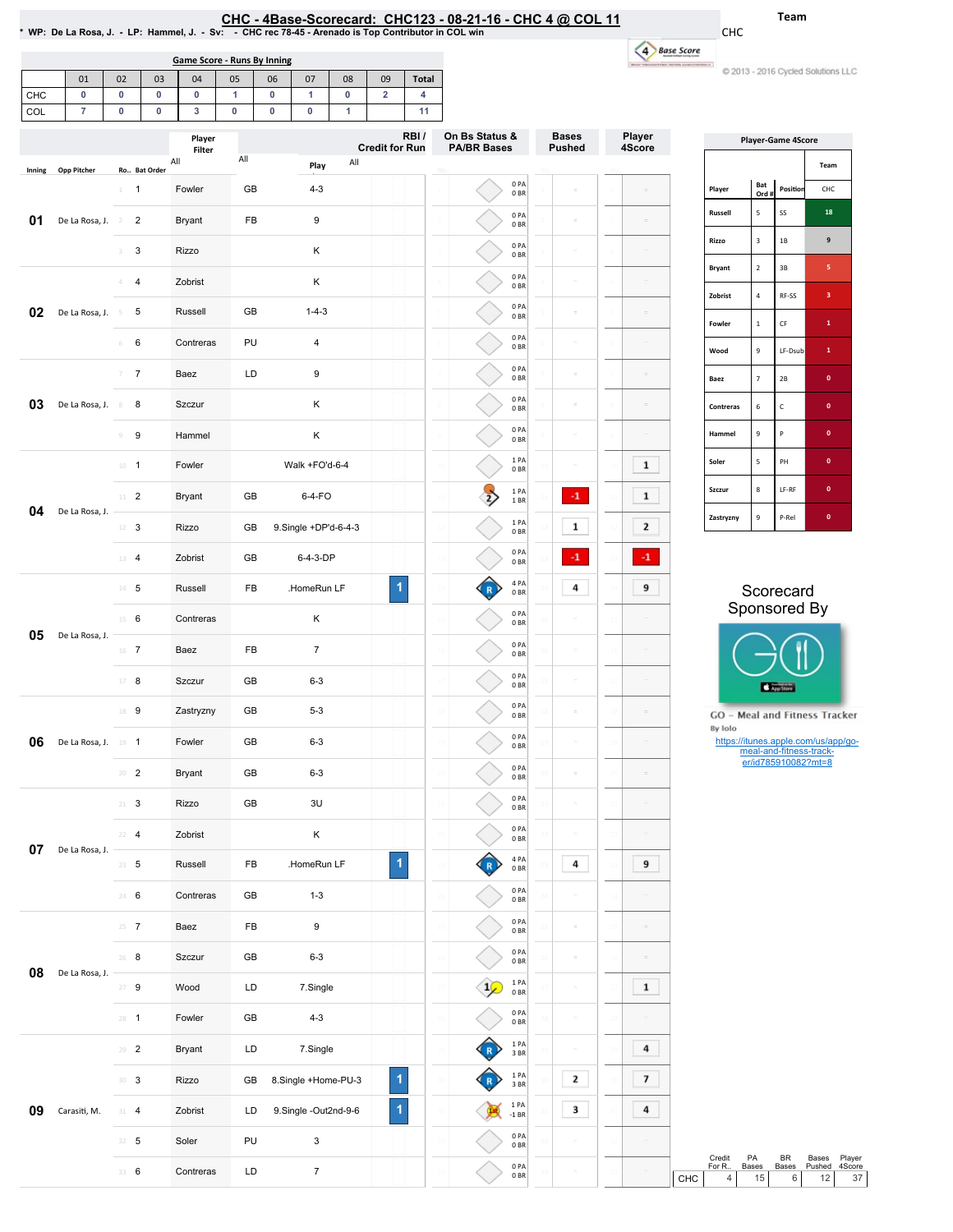<u>CHC - 4Base-Scorecard: CHC123 - 08-21-16 - CHC 4 @ COL 11 .</u><br>WP: De La Rosa, J. - LP: Hammel, J. - Sv: - CHC rec 78-45 - Arenado is Top Contributor in COL win \*

Team

C 2013 - 2016 Cycled Solutions LLC

CHC

4 Base Score .<br>The Sections described in -

|     |    |          |    |    | Game Score - Runs By Inning |    |    |    |              |
|-----|----|----------|----|----|-----------------------------|----|----|----|--------------|
|     | 01 | റാ<br>υz | 03 | 04 | 05                          | 06 | 08 | 09 | <b>Total</b> |
| CHC |    |          |    |    |                             |    |    |    |              |

| COL    | 7                   | 0               | 0              | 3<br>Player   | 0   | 0<br>0                    | 1 |     | 11<br>RBI/              | On Bs Status &          |                          | <b>Bases</b>             | Player         |                                |                          | <b>Player-Game 4Score</b> |                                     |
|--------|---------------------|-----------------|----------------|---------------|-----|---------------------------|---|-----|-------------------------|-------------------------|--------------------------|--------------------------|----------------|--------------------------------|--------------------------|---------------------------|-------------------------------------|
|        |                     |                 |                | Filter<br>All | All | Play                      |   | All | <b>Credit for Run</b>   | <b>PA/BR Bases</b>      |                          | <b>Pushed</b>            | 4Score         |                                |                          |                           | Team                                |
| Inning | <b>Opp Pitcher</b>  | $1 \quad 1$     | Ro Bat Order   | Fowler        | GB  | $4 - 3$                   |   |     |                         |                         | 0PA<br>0 <sub>BR</sub>   |                          |                | Player                         | Bat<br>Ord #             | Position                  | $\mathsf{CHC}$                      |
| 01     | De La Rosa, J.      | $\overline{2}$  | $\overline{2}$ | <b>Bryant</b> | FB  | 9                         |   |     |                         |                         | 0PA<br>0 <sub>BR</sub>   | ÷                        |                | Russell                        | $\overline{\phantom{a}}$ | SS                        | 18                                  |
|        |                     | 3               | 3              | Rizzo         |     | К                         |   |     |                         |                         | 0PA<br>0BR               | $\bar{a}$                |                | Rizzo                          | $\mathsf 3$              | $1\mathsf{B}$             | 9                                   |
|        |                     | 4               | 4              | Zobrist       |     | К                         |   |     |                         |                         | 0PA<br>0BR               | ÷                        |                | Bryant                         | $\overline{2}$           | 3В                        | ${\sf S}$                           |
| 02     | De La Rosa, J. 5    |                 | 5              | Russell       | GB  | $1 - 4 - 3$               |   |     |                         |                         | 0PA<br>0BR               | $\bar{a}$                |                | Zobrist<br>Fowler              | $\overline{4}$<br>$\,$ 1 | RF-SS<br>$\mathsf{CF}$    | $\mathbf{3}$<br>$\mathbf{1}^-$      |
|        |                     | 6               | 6              | Contreras     | PU  | 4                         |   |     |                         |                         | 0PA<br>0BR               | $\equiv$                 |                | Wood                           | $\mathsf g$              | LF-Dsub                   | $1^{\circ}$                         |
|        |                     | $7 -$           | $\overline{7}$ | Baez          | LD  | 9                         |   |     |                         |                         | 0PA<br>0 <sub>BR</sub>   | $\equiv$                 |                | Baez                           | $\overline{7}$           | $2\mathsf{B}$             | $\mathbf{0}^-$                      |
| 03     | De La Rosa, J.      | 8               | 8              | Szczur        |     | Κ                         |   |     |                         |                         | 0PA<br>0 <sub>BR</sub>   | $\equiv$                 |                | Contreras                      | $\,6\,$                  | C                         | $\bullet$                           |
|        |                     | 9               | 9              | Hammel        |     | К                         |   |     |                         |                         | 0PA<br>0BR               | $\equiv$                 |                | Hammel                         | $\mathsf g$              | P                         | $\bullet$                           |
|        |                     | $10 - 1$        |                | Fowler        |     | Walk +FO'd-6-4            |   |     |                         |                         | 1 PA<br>0BR              | $\bar{a}$                | 1              | Soler                          | $\overline{\phantom{a}}$ | PH                        | $\mathbf 0$                         |
| 04     | De La Rosa, J.      | $11-2$          |                | <b>Bryant</b> | GB  | 6-4-FO                    |   |     |                         | $\frac{1}{2}$           | 1PA<br>1BR               | $-1$                     | $\mathbf{1}$   | Szczur                         | $\bf8$                   | $LF-RF$                   | $\mathbf{0}^-$                      |
|        |                     | $12 - 3$        |                | Rizzo         | GB  | 9.Single +DP'd-6-4-3      |   |     |                         |                         | 1 PA<br>0 <sub>BR</sub>  | $\mathbf{1}$             | $\mathbf{z}$   | Zastryzny                      | $\,9$                    | P-Rel                     | $\mathbf{0}^-$                      |
|        |                     | 13 4            |                | Zobrist       | GB  | 6-4-3-DP                  |   |     |                         |                         | 0PA<br>0 <sub>BR</sub>   | $\cdot 1$                | $^{\rm -1}$    |                                |                          |                           |                                     |
|        | $14 - 5$            |                 |                | Russell       | FB  | .HomeRun LF               |   |     | $\overline{\mathbf{1}}$ | $\overline{\mathbf{R}}$ | 4 PA<br>0 <sub>BR</sub>  | 4                        | 9              |                                | Sponsored By             | Scorecard                 |                                     |
| 05     | De La Rosa, J.      | $15 \t 6$       |                | Contreras     |     | Κ                         |   |     |                         |                         | 0PA<br>0BR               | $\overline{\phantom{a}}$ |                |                                |                          |                           |                                     |
|        |                     | $16$ 7          |                | Baez          | FB  | $\overline{7}$            |   |     |                         |                         | 0PA<br>0BR               | $\equiv$                 |                |                                |                          |                           |                                     |
|        |                     | $17 - 8$        |                | Szczur        | GB  | $6 - 3$                   |   |     |                         |                         | 0PA<br>0 <sub>BR</sub>   | $\equiv$                 |                |                                |                          | App Store                 |                                     |
|        |                     | 18 9            |                | Zastryzny     | GB  | $5 - 3$                   |   |     |                         |                         | 0PA<br>0 <sub>BR</sub>   | $\equiv$                 | $\equiv$       | By Iolo                        |                          |                           | GO - Meal and Fitness Tracker       |
| 06     | De La Rosa, J. 19 1 |                 |                | Fowler        | GB  | $6 - 3$                   |   |     |                         |                         | 0PA<br>0BR               | $\overline{a}$           |                |                                | meal-and-fitness-track-  | er/id785910082?mt=8       | https://itunes.apple.com/us/app/go- |
|        |                     | $20 - 2$        |                | <b>Bryant</b> | GB  | $6 - 3$                   |   |     |                         |                         | 0PA<br>0BR               | $\bar{ }$                |                |                                |                          |                           |                                     |
|        |                     | $21 - 3$        |                | Rizzo         | GB  | 3U                        |   |     |                         |                         | 0PA<br><b>OBR</b>        |                          |                |                                |                          |                           |                                     |
| 07     | De La Rosa, J.      | $22 - 4$        |                | Zobrist       |     | К                         |   |     |                         |                         | $0$ PA<br>0 BR           | $\equiv$                 |                |                                |                          |                           |                                     |
|        |                     | $23 \t 5$       |                | Russell       | FB  | .HomeRun LF               |   |     | $\blacktriangleleft$    | $\mathbb{R}$            | 4 PA<br>$0\;\mathrm{BR}$ | 4                        | 9              |                                |                          |                           |                                     |
|        |                     | 24 6            |                | Contreras     | GB  | $1 - 3$                   |   |     |                         |                         | 0PA<br>0B                | $\equiv$                 |                |                                |                          |                           |                                     |
|        |                     | $25 \t 7$       |                | Baez          | FB  | 9                         |   |     |                         |                         | 0PA<br>0 <sub>BR</sub>   | $\equiv$                 | $\equiv$       |                                |                          |                           |                                     |
| 08     | De La Rosa, J.      | $26$ 8          |                | Szczur        | GB  | $6 - 3$                   |   |     |                         |                         | 0PA<br>0BR               | $\equiv$                 |                |                                |                          |                           |                                     |
|        |                     | $27 - 9$        |                | Wood          | LD  | 7.Single                  |   |     |                         | $\frac{1}{2}$           | $1\ \mathsf{PA}$<br>0BR  | $\equiv$                 | $\mathbf 1$    |                                |                          |                           |                                     |
|        |                     | $28 - 1$        |                | Fowler        | GB  | $4 - 3$                   |   |     |                         |                         | 0PA<br>0BR               | $\equiv$                 |                |                                |                          |                           |                                     |
|        |                     | $29 - 2$        |                | Bryant        | LD  | 7.Single                  |   |     |                         | R                       | 1PA<br>3 BR              | $\equiv$                 | 4              |                                |                          |                           |                                     |
|        |                     | 30 <sup>3</sup> |                | Rizzo         | GB  | 8.Single +Home-PU-3       |   |     | $\overline{\mathbf{1}}$ |                         | $1\ \mathsf{PA}$<br>3 BR | $\mathbf 2$              | $\overline{7}$ |                                |                          |                           |                                     |
| 09     | Carasiti, M.        | 31 4            |                | Zobrist       | LD  | 9.Single-Out2nd-9-6       |   |     | $\overline{1}$          |                         | 1 PA<br>$-1 BR$          | $\mathbf{3}$             | $\overline{4}$ |                                |                          |                           |                                     |
|        |                     | $32 - 5$        |                | Soler         | PU  | $\ensuremath{\mathsf{3}}$ |   |     |                         |                         | 0PA<br>0B                | $\overline{a}$           |                | Credit                         | PA                       | BR                        | Player<br>Bases                     |
|        |                     | 33 6            |                | Contreras     | LD  | $\overline{7}$            |   |     |                         |                         | 0PA<br>0B                | ÷                        |                | For R<br>CHC<br>$\overline{4}$ | Bases<br>15              | Bases<br>6                | Pushed<br>4Score<br>12              |

|                |                         | <b>Player-Game 4Score</b> |              |  |  |  |  |  |  |  |
|----------------|-------------------------|---------------------------|--------------|--|--|--|--|--|--|--|
|                |                         |                           | Team         |  |  |  |  |  |  |  |
| Player         | Bat<br>Ord#             | Position                  | CHC          |  |  |  |  |  |  |  |
| <b>Russell</b> | 5                       | SS                        | 18           |  |  |  |  |  |  |  |
| Rizzo          | $\overline{\mathbf{3}}$ | 1B                        | 9            |  |  |  |  |  |  |  |
| <b>Bryant</b>  | $\overline{2}$          | 3B                        | 5            |  |  |  |  |  |  |  |
| Zobrist        | 4                       | RF-SS                     | 3            |  |  |  |  |  |  |  |
| Fowler         | 1                       | CF                        | 1            |  |  |  |  |  |  |  |
| Wood           | 9                       | LF-Dsub                   | 1            |  |  |  |  |  |  |  |
| Baez           | $\overline{7}$          | 2B                        | $\mathbf{0}$ |  |  |  |  |  |  |  |
| Contreras      | 6                       | C                         | $\mathbf 0$  |  |  |  |  |  |  |  |
| Hammel         | 9                       | P                         | Ō            |  |  |  |  |  |  |  |
| Soler          | 5                       | PH                        | $\mathbf{0}$ |  |  |  |  |  |  |  |
| Szczur         | 8                       | LF-RF                     | $\mathbf{0}$ |  |  |  |  |  |  |  |
| Zastryzny      | 9                       | P-Rel                     | Ō            |  |  |  |  |  |  |  |

### corecard onsored By

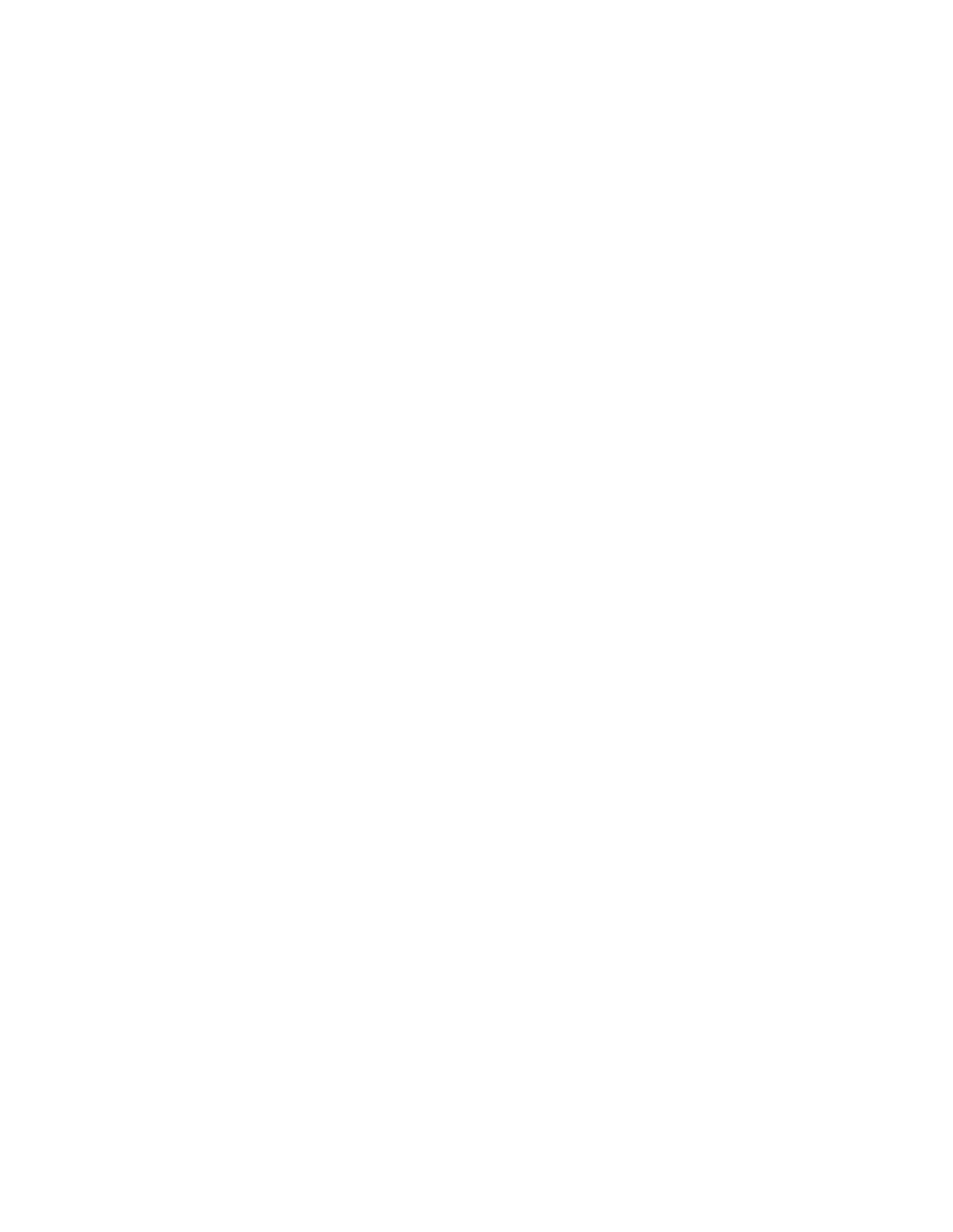|                 |                 | ' u ^ } Œr Zµv• Ç/vv]vP |                      |                |                              |                |       |                               |                  |                |                            |                         |                           |                                                      |
|-----------------|-----------------|-------------------------|----------------------|----------------|------------------------------|----------------|-------|-------------------------------|------------------|----------------|----------------------------|-------------------------|---------------------------|------------------------------------------------------|
| ìí              | ìî<br>ìΪ        | ìð                      | ìñ                   | ìò<br>ìó       | ìô                           | ìõ             | d}šo  |                               |                  |                |                            |                         |                           |                                                      |
| $8 + 8$<br>82/  |                 |                         |                      |                |                              |                |       |                               |                  |                |                            |                         |                           |                                                      |
|                 |                 | Wo Ç Œ<br>&]oš Œ        |                      |                |                              | & UHGLWIRU5 XQ | $5\%$ | 2 Q%V 6 VDWXV<br>3\$ %5 %DVHV | %DVHV<br>3 XVKHG | 30 NU<br>6FRUH |                            |                         | WoÇOE u ð^}Œ              |                                                      |
| /vv]vP K‰W)§Z0E | Z}XX ŠKOE O     | $\pmb{\circledcirc}$    | $\pmb{\circledcirc}$ |                | $\pmb{\circledcirc}$<br>₩Ç   |                |       |                               |                  |                |                            |                         |                           | d u                                                  |
|                 | $\int$          | ) RZ ®IU                | $*$ %                |                |                              |                |       | i W<br>$i$ Z                  |                  |                | Wo Ç Œ                     | š<br>KŒ                 | ۷ <b>γ∙</b> ]Ÿ}           | $\cdot$                                              |
| > Z · UX 1      |                 | <b>%UDQW</b>            | ) %                  |                |                              |                |       | i W<br>i Z                    |                  |                | Zµ. 00                     | ñ                       | $\sim$                    | íô                                                   |
|                 | $\sim 1$        | $5 \,\sharp\,$ R        |                      |                | $\sim$                       |                |       | i W<br>i Z                    |                  |                | zjì ì }                    | $\ddot{\rm I}$          | $\mathbf{r}$              | $\tilde{\text{o}}$                                   |
|                 | ð               | $=$ REUMV               |                      |                | $\sim$                       |                |       | i W<br>i Z                    |                  |                | 0ÇV Š                      | $\hat{\mathsf{I}}$      | $\ddot{\text{I}}$         |                                                      |
| > Z} • UX ñ     |                 | 5 XVMO                  | $*$ %                |                |                              |                |       | i W<br>$i$ Z                  |                  |                | $\bullet$ } Opš<br>&} Áo Œ | ð<br>$\mathfrak{f}$     | $Z8r^{\wedge\wedge}$<br>& | $\langle \hat{1} \rangle$<br>$\mathbf{f}$            |
|                 | ò               | & ROWHUDV               | 38                   |                |                              |                |       | i W<br>$i$ Z                  |                  |                | $t$ } }                    | õ                       | >& ∙μ                     | $\mathbf{f}$                                         |
|                 | $\circ$         | %DHJ                    | $\prime$ .           |                |                              |                |       | i W<br>i Z                    |                  |                | ÎΞ                         | ó                       | î                         | T.                                                   |
| > Z}• UX ô      |                 | 6] FJ XU                |                      |                | $\sim$                       |                |       | i W<br>i Z                    |                  |                | } všOEOE                   | ò                       |                           | ì.                                                   |
|                 | õ               | $+DPPD$                 |                      |                | $\sim$                       |                |       | i W<br>i Z                    |                  |                | , uu o                     | õ                       | ${\sf W}$                 | T.                                                   |
|                 | $-11$           | ) RZ ONU                |                      | : DON ) 2 G    |                              |                |       | i W<br>i Z                    |                  | ۰              | $^{\wedge}$ } o Œ          | ñ                       | W                         | $\mathbf{I}$                                         |
| > Z} • UX-      | $-11$           | <b>%UDQW</b>            | $*$ %                |                | )2                           |                |       | í W<br>$i$ $z$                |                  |                | $\lambda$ j jµŒ            | ô                       | >8rZ8                     | à.                                                   |
|                 | $-11$           | $5 \,\sharp\,$ R        | $*$ %                | 6LQJOH '3G     |                              |                |       | í W<br>$i$ Z                  |                  |                | ∙•š0€ivÇ                   | õ                       | WZ o                      | $\mathbf{1}$                                         |
|                 | íï              | $=$ REUMV               | $^*$ %               |                | $\overline{\phantom{a}}$ 3   |                |       | i W<br>$i$ Z                  |                  |                |                            |                         |                           |                                                      |
|                 | íð              | 5 XVMO                  | ) %                  |                | $+RP$ H <sub>5</sub> $XQ/$ ) |                |       | ðW<br>i Z                     |                  |                |                            | 6 FRU <del>IT</del> DUG |                           |                                                      |
|                 | íñ              | & ROWHUDV               |                      |                | $\sim 10^{-1}$               |                |       | i W<br>$i$ Z                  |                  |                |                            | 6 SRQVRUHG%             |                           |                                                      |
| > Z} • UX-      | íò              | %DHJ                    | ) %                  |                |                              |                |       | i W<br>$i$ Z                  |                  |                |                            |                         |                           |                                                      |
|                 | íó              | 6] FJ XU                | $*$ %                |                |                              |                |       | i W<br>$i$ Z                  |                  |                |                            |                         |                           |                                                      |
|                 | íô              | $=$ DVWI] $Q$           | $*$ %                |                |                              |                |       | i W<br>$i$ Z                  |                  |                |                            |                         |                           |                                                      |
|                 | > Z}• UX 10     | ) RZ ONU                | $^{\star}$ %         |                |                              |                |       | i W<br>i Z                    |                  |                |                            |                         |                           | KWOSV LWACH VDSSORFRP XVDSSJR<br>PHDCOGG LLWAH VWDFN |
|                 | îì.             | %UDQW                   | $*$ %                |                |                              |                |       | i W<br>i Z                    |                  |                |                            | $H\cup G$               |                           | "PW                                                  |
|                 | îí              | 54]R                    | $*$ %                |                | 8                            |                |       | i W<br>i Z                    |                  |                |                            |                         |                           |                                                      |
|                 | îî              | $=$ REUMV               |                      |                | $\sim$                       |                |       | i W<br>$i$ Z                  |                  |                |                            |                         |                           |                                                      |
| > Z} • UX-      | $\hat{1}$       | 5 XVMO                  | ) %                  |                | $+RP$ H <sub>5</sub> XQ/ $)$ |                |       | ðW<br>i Z                     |                  |                |                            |                         |                           |                                                      |
|                 | îŏ              | & ROWHUDV               | $*$ %                |                |                              |                |       | i W<br>i Z                    |                  |                |                            |                         |                           |                                                      |
|                 | îñ              | %DHJ                    | ) %                  |                |                              |                |       | i W<br>$i$ Z                  |                  |                |                            |                         |                           |                                                      |
|                 | ÎÒ              | 6] FJ XU                | $*$ %                |                |                              |                |       | i W<br>$i$ Z                  |                  |                |                            |                         |                           |                                                      |
| > Z} • UX-      | ÎÓ              | :RRG                    | $\prime$ .           |                | 6 QJ 0H                      |                |       | i W<br>i Z                    |                  |                |                            |                         |                           |                                                      |
|                 | îô              | ) RZ ONU                | * %                  |                |                              |                |       | i W<br>i Z                    |                  |                |                            |                         |                           |                                                      |
|                 | ÎÕ              | <b>%UDQW</b>            | $\prime$ .           |                | 6 QJ 0H                      |                |       | í W<br>ï Z                    |                  |                |                            |                         |                           |                                                      |
|                 | $-11$           | $5 \text{ H}$ R         | $*$ %                |                | 61Q10H + RP H 38             |                |       | í W<br>ï Z                    |                  |                |                            |                         |                           |                                                      |
| 0E∙]ŸUDX ⊺i     |                 | $=$ REUMV               | $\prime$ .           | 6 IQJOH 2 XWOG |                              |                |       | i W<br>rí Z                   |                  |                |                            |                         |                           |                                                      |
|                 | ΪÎ              | 6 ROHU                  | 38                   |                |                              |                |       | i W<br>$i$ Z                  |                  |                |                            |                         |                           |                                                      |
|                 | TT <sub>1</sub> | & ROWHUDV               | $\prime$ .           |                |                              |                |       | ìW<br>$i$ $z$                 |                  |                | &UHGLW 3\$<br>) RU5        | %DVHV                   | %5<br>%DVHV               | %DMHV 300 HL<br>3XWHG 6FRUH                          |
|                 |                 |                         |                      |                |                              |                |       |                               |                  |                | $8 + 8$                    |                         |                           |                                                      |

 $\underbrace{8+8.9}^{\text{B}+8.9}$   $\underbrace{8+8.9}^{\text{B}+8.9}$   $\underbrace{8+8.9}^{\text{B}+8.9}$   $\underbrace{8+8.9}^{\text{B}+8.9}$   $\underbrace{8+8.9}^{\text{B}+8.9}$   $\underbrace{8+8.9}^{\text{B}+8.9}$   $\underbrace{8+8.9}^{\text{B}+8.9}$ 

 $d$  u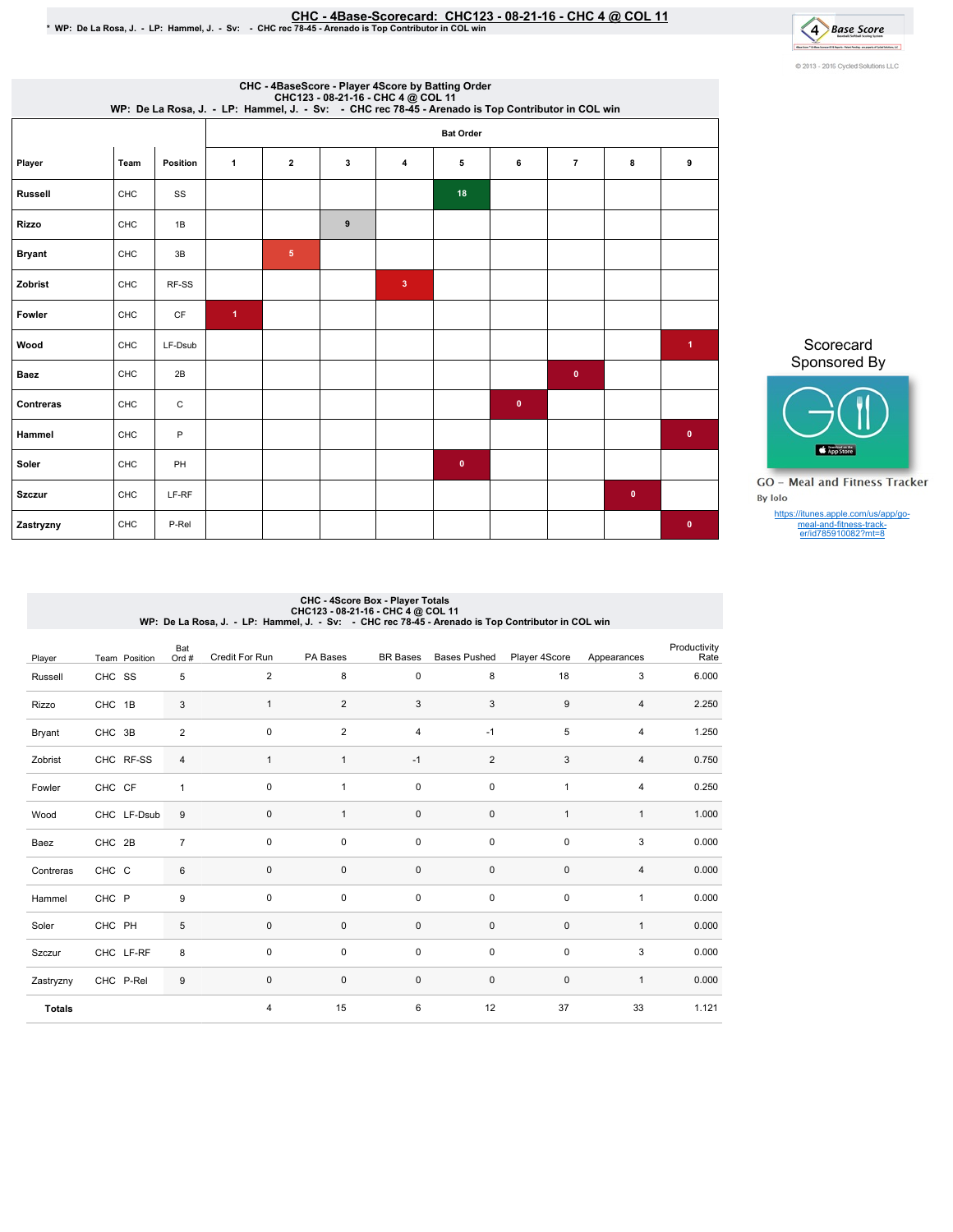## EHC - 4Base-Scorecard: CHC123 - 08-21-16 - CHC 4 @ COL 11 ل CHC - 4Base-Scorecard: CHC123 - 08-21-16 - CHC 4 ⊘ COL<br>WP: De La Rosa, J. - LP: Hammel, J. - Sv: - CHC rec 78-45 - Arenado is Top Contributor in COL win ⊀



| CHC - 4BaseScore - Player 4Score by Batting Order<br>CHC123 - 08-21-16 - CHC 4 @ COL 11<br>WP: De La Rosa, J. - LP: Hammel, J. - Sv: - CHC rec 78-45 - Arenado is Top Contributor in COL win |      |             |                      |                         |   |              |                  |           |                |           |                      |  |  |
|----------------------------------------------------------------------------------------------------------------------------------------------------------------------------------------------|------|-------------|----------------------|-------------------------|---|--------------|------------------|-----------|----------------|-----------|----------------------|--|--|
|                                                                                                                                                                                              |      |             |                      |                         |   |              | <b>Bat Order</b> |           |                |           |                      |  |  |
| Player                                                                                                                                                                                       | Team | Position    | 1                    | $\overline{\mathbf{2}}$ | 3 | 4            | 5                | 6         | $\overline{7}$ | 8         | 9                    |  |  |
| <b>Russell</b>                                                                                                                                                                               | CHC  | SS          |                      |                         |   |              | 18               |           |                |           |                      |  |  |
| Rizzo                                                                                                                                                                                        | CHC  | 1B          |                      |                         | 9 |              |                  |           |                |           |                      |  |  |
| <b>Bryant</b>                                                                                                                                                                                | CHC  | 3B          |                      | $\sqrt{5}$              |   |              |                  |           |                |           |                      |  |  |
| Zobrist                                                                                                                                                                                      | CHC  | RF-SS       |                      |                         |   | $\mathbf{3}$ |                  |           |                |           |                      |  |  |
| Fowler                                                                                                                                                                                       | CHC  | CF          | $\blacktriangleleft$ |                         |   |              |                  |           |                |           |                      |  |  |
| Wood                                                                                                                                                                                         | CHC  | LF-Dsub     |                      |                         |   |              |                  |           |                |           | $\blacktriangleleft$ |  |  |
| <b>Baez</b>                                                                                                                                                                                  | CHC  | 2B          |                      |                         |   |              |                  |           | $\bullet$      |           |                      |  |  |
| Contreras                                                                                                                                                                                    | CHC  | $\mathbf C$ |                      |                         |   |              |                  | $\bullet$ |                |           |                      |  |  |
| Hammel                                                                                                                                                                                       | CHC  | P           |                      |                         |   |              |                  |           |                |           | $\bullet$            |  |  |
| Soler                                                                                                                                                                                        | CHC  | PH          |                      |                         |   |              | $\pmb{0}$        |           |                |           |                      |  |  |
| <b>Szczur</b>                                                                                                                                                                                | CHC  | LF-RF       |                      |                         |   |              |                  |           |                | $\bullet$ |                      |  |  |
| Zastryzny                                                                                                                                                                                    | CHC  | P-Rel       |                      |                         |   |              |                  |           |                |           | $\bullet$            |  |  |

Scorecard Sponsored By



**GO** - Meal and Fitness Tracker By Iolo

https://itunes.apple.com/us/app/go-meal-and-fitness-track-er/id785910082?mt=8

# CHC - 4Score Box - Player Totals<br>CHC 11 - CHC123 - 08-21-16 - CHC 4 @ COL 11<br>WP: De La Rosa, J. - LP: Hammel, J. - Sv: - CHC rec 78-45 - Arenado is Top Contributor in COL win

| Player        | Team Position | Bat<br>Ord #     | Credit For Run | PA Bases       | <b>BR</b> Bases         | <b>Bases Pushed</b> | Player 4Score | Appearances    | Productivity<br>Rate |
|---------------|---------------|------------------|----------------|----------------|-------------------------|---------------------|---------------|----------------|----------------------|
| Russell       | CHC SS        | 5                | $\overline{2}$ | 8              | $\mathsf 0$             | 8                   | 18            | 3              | 6.000                |
| Rizzo         | CHC 1B        | 3                | $\mathbf{1}$   | $\overline{2}$ | 3                       | 3                   | 9             | $\overline{4}$ | 2.250                |
| Bryant        | CHC 3B        | $\sqrt{2}$       | 0              | $\overline{2}$ | $\overline{\mathbf{4}}$ | $-1$                | 5             | 4              | 1.250                |
| Zobrist       | CHC RF-SS     | $\overline{4}$   | $\mathbf{1}$   | $\mathbf{1}$   | $-1$                    | $\overline{2}$      | 3             | 4              | 0.750                |
| Fowler        | CHC CF        | $\mathbf{1}$     | $\mathbf 0$    | $\mathbf{1}$   | $\mathbf 0$             | $\mathbf 0$         | $\mathbf{1}$  | $\overline{4}$ | 0.250                |
| Wood          | CHC LF-Dsub   | 9                | 0              | $\mathbf{1}$   | 0                       | $\pmb{0}$           | $\mathbf{1}$  | $\mathbf{1}$   | 1.000                |
| Baez          | CHC 2B        | $\overline{7}$   | 0              | 0              | $\pmb{0}$               | $\pmb{0}$           | $\pmb{0}$     | 3              | 0.000                |
| Contreras     | CHC C         | $\,6$            | 0              | 0              | $\pmb{0}$               | $\pmb{0}$           | $\pmb{0}$     | 4              | 0.000                |
| Hammel        | CHC P         | 9                | 0              | 0              | $\pmb{0}$               | $\pmb{0}$           | $\pmb{0}$     | $\mathbf{1}$   | 0.000                |
| Soler         | CHC PH        | $\,$ 5 $\,$      | $\mathbf 0$    | $\mathbf 0$    | $\mathsf 0$             | $\pmb{0}$           | $\pmb{0}$     | $\mathbf{1}$   | 0.000                |
| Szczur        | CHC LF-RF     | 8                | 0              | 0              | 0                       | $\pmb{0}$           | $\pmb{0}$     | 3              | 0.000                |
| Zastryzny     | CHC P-Rel     | $\boldsymbol{9}$ | 0              | $\pmb{0}$      | $\pmb{0}$               | $\pmb{0}$           | $\pmb{0}$     | $\mathbf{1}$   | 0.000                |
| <b>Totals</b> |               |                  | 4              | 15             | 6                       | 12                  | 37            | 33             | 1.121                |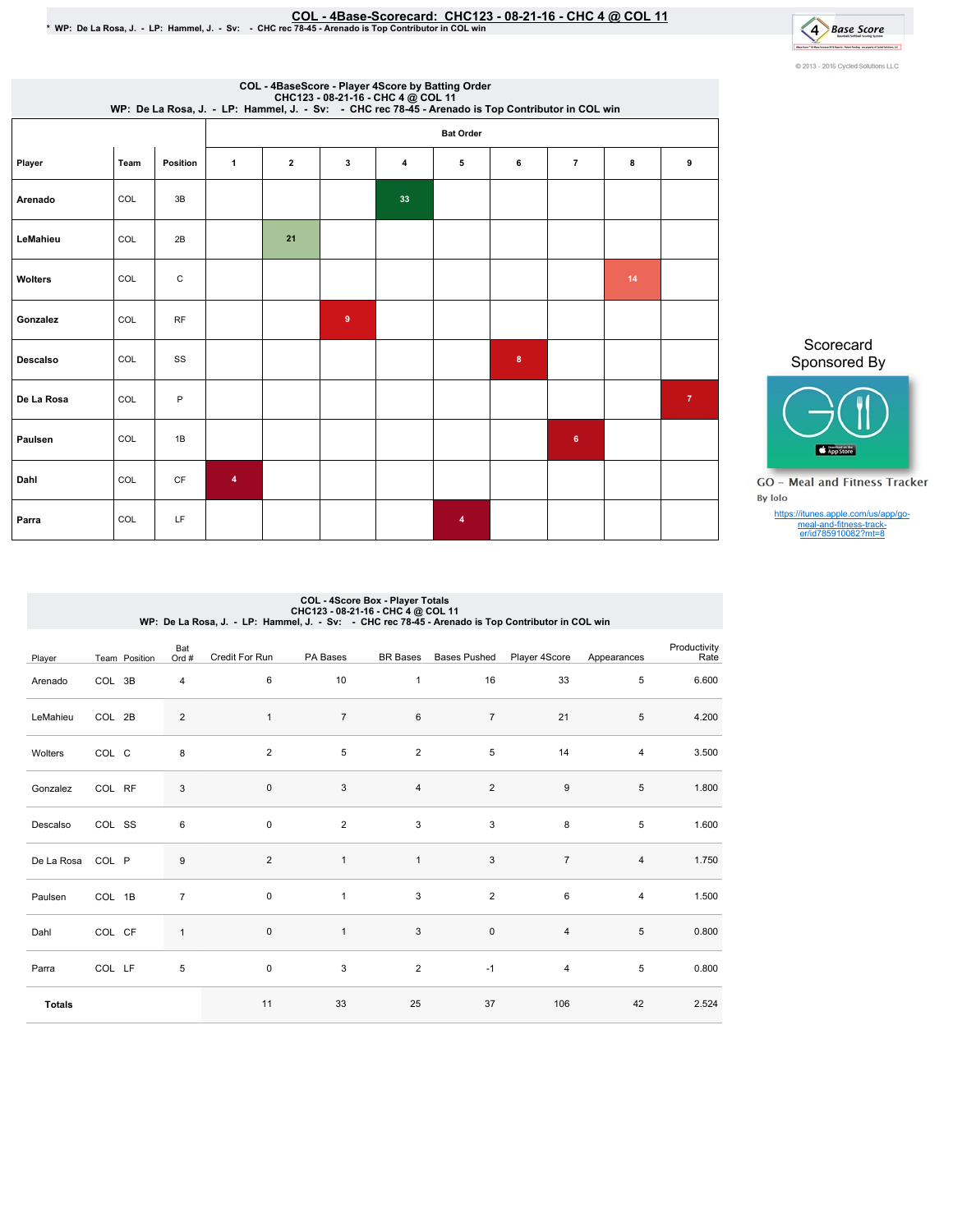## EOL - 4Base-Scorecard: CHC123 - 08-21-16 - CHC 4 @ COL 11 ل COL - 4Base-Scorecard: CHC123 - 08-21-16 - CHC 4 ∗<br>WP: De La Rosa, J. - LP: Hammel, J. - Sv: - CHC rec 78-45 - Arenado is Top Contributor in COL win ♦



| COL - 4BaseScore - Player 4Score by Batting Order<br>CHC123 - 08-21-16 - CHC 4 @ COL 11<br>WP: De La Rosa, J. - LP: Hammel, J. - Sv: - CHC rec 78-45 - Arenado is Top Contributor in COL win |      |                 |                  |              |                  |    |                  |   |                |    |                |  |
|----------------------------------------------------------------------------------------------------------------------------------------------------------------------------------------------|------|-----------------|------------------|--------------|------------------|----|------------------|---|----------------|----|----------------|--|
|                                                                                                                                                                                              |      |                 |                  |              |                  |    | <b>Bat Order</b> |   |                |    |                |  |
| Player                                                                                                                                                                                       | Team | <b>Position</b> | $\mathbf{1}$     | $\mathbf{2}$ | 3                | 4  | 5                | 6 | $\overline{7}$ | 8  | 9              |  |
| Arenado                                                                                                                                                                                      | COL  | 3B              |                  |              |                  | 33 |                  |   |                |    |                |  |
| LeMahieu                                                                                                                                                                                     | COL  | 2B              |                  | 21           |                  |    |                  |   |                |    |                |  |
| Wolters                                                                                                                                                                                      | COL  | $\mathsf C$     |                  |              |                  |    |                  |   |                | 14 |                |  |
| Gonzalez                                                                                                                                                                                     | COL  | RF              |                  |              | $\boldsymbol{9}$ |    |                  |   |                |    |                |  |
| Descalso                                                                                                                                                                                     | COL  | SS              |                  |              |                  |    |                  | 8 |                |    |                |  |
| De La Rosa                                                                                                                                                                                   | COL  | P               |                  |              |                  |    |                  |   |                |    | $\overline{7}$ |  |
| Paulsen                                                                                                                                                                                      | COL  | 1B              |                  |              |                  |    |                  |   | 6              |    |                |  |
| Dahl                                                                                                                                                                                         | COL  | <b>CF</b>       | $\boldsymbol{4}$ |              |                  |    |                  |   |                |    |                |  |
| Parra                                                                                                                                                                                        | COL  | LF              |                  |              |                  |    | 4                |   |                |    |                |  |

Scorecard Sponsored By



**GO** - Meal and Fitness Tracker By Iolo

https://itunes.apple.com/us/app/go-meal-and-fitness-track-er/id785910082?mt=8

# COL - 4Score Box - Player Totals<br>CHC 4 @ CHC123 - 08-21-16 - CHC 4 @ COL 11<br>WP: De La Rosa, J. - LP: Hammel, J. - Sv: - CHC rec 78-45 - Arenado is Top Contributor in COL win

| Player           |        | Team Position | Bat<br>Ord #   | Credit For Run | PA Bases       | BR Bases       | <b>Bases Pushed</b> | Player 4Score    | Appearances    | Productivity<br>Rate |
|------------------|--------|---------------|----------------|----------------|----------------|----------------|---------------------|------------------|----------------|----------------------|
| Arenado          | COL 3B |               | $\overline{4}$ | 6              | 10             | $\mathbf{1}$   | 16                  | 33               | 5              | 6.600                |
| LeMahieu         | COL 2B |               | 2              | $\mathbf{1}$   | $\overline{7}$ | 6              | $\overline{7}$      | 21               | 5              | 4.200                |
| Wolters          | COL C  |               | 8              | $\overline{2}$ | 5              | $\overline{c}$ | $\sqrt{5}$          | 14               | $\overline{4}$ | 3.500                |
| Gonzalez         | COL RF |               | 3              | $\mathbf 0$    | 3              | $\overline{4}$ | 2                   | $\boldsymbol{9}$ | $\overline{5}$ | 1.800                |
| Descalso         | COL SS |               | 6              | $\mathbf 0$    | $\overline{2}$ | 3              | 3                   | 8                | 5              | 1.600                |
| De La Rosa COL P |        |               | 9              | $\overline{2}$ | $\mathbf{1}$   | $\mathbf{1}$   | $\mathbf{3}$        | $\overline{7}$   | $\overline{4}$ | 1.750                |
| Paulsen          | COL 1B |               | $\overline{7}$ | $\pmb{0}$      | $\mathbf{1}$   | 3              | 2                   | 6                | 4              | 1.500                |
| Dahl             | COL CF |               | $\overline{1}$ | $\mathbf 0$    | $\mathbf{1}$   | 3              | $\mathsf 0$         | $\sqrt{4}$       | 5              | 0.800                |
| Parra            | COL LF |               | 5              | $\pmb{0}$      | 3              | $\overline{c}$ | $-1$                | $\overline{4}$   | 5              | 0.800                |
| <b>Totals</b>    |        |               |                | 11             | 33             | 25             | 37                  | 106              | 42             | 2.524                |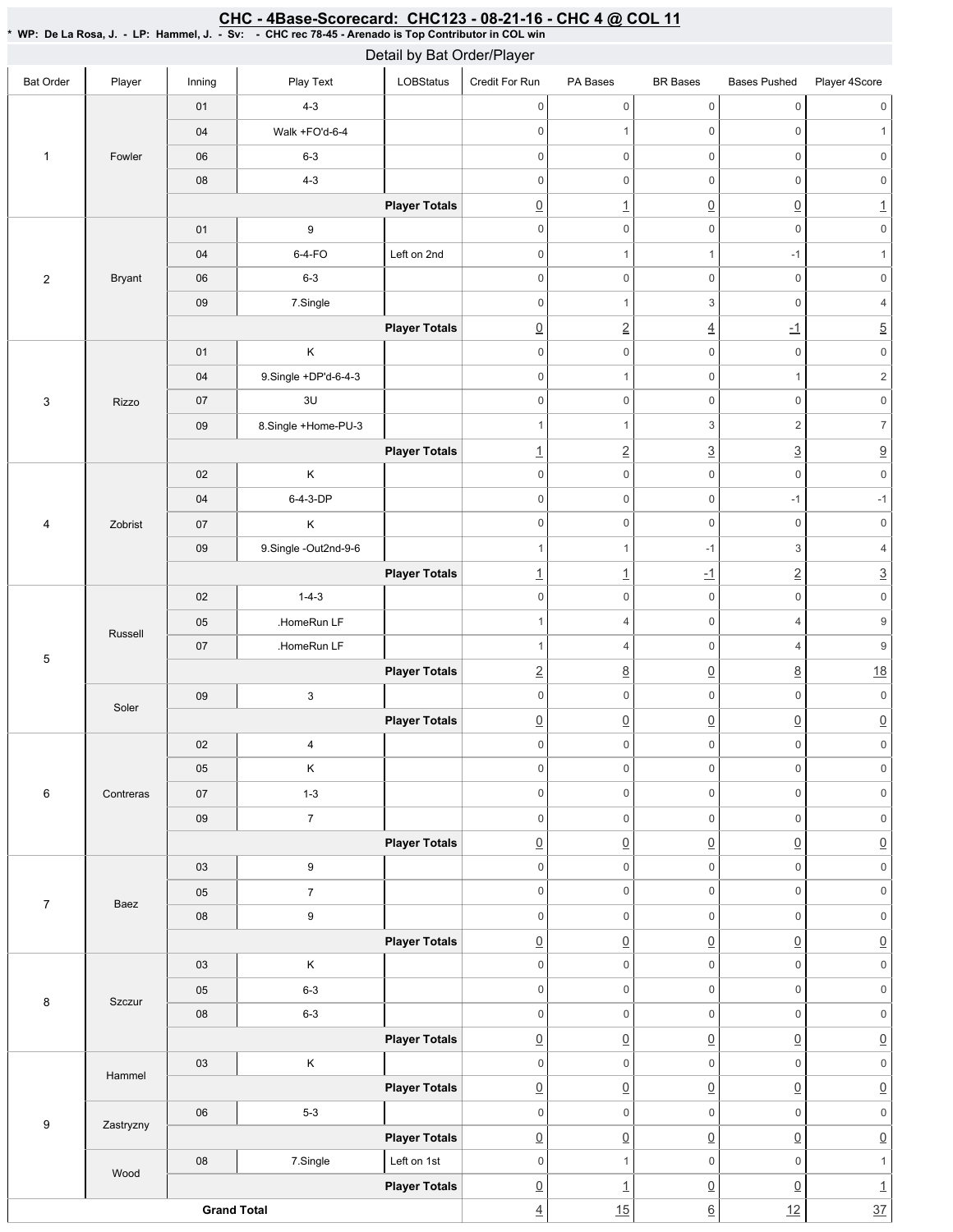#### \*WP:DeLaRosa,J.-LP:Hammel,J.-Sv: -CHCrec78-45-ArenadoisTopContributorinCOLwin Bat Order | Player | Inning | PlayText | LOBStatus Credit For Run PA Bases BR Bases Bases Pushed Player 4Score 1 | Fowler 01 4-3 04 | Walk + FO'd-6-4 06 6-3 08 4-3 **Player Totals** 2 Bryant 01 9 04 6-4-FO Lefton2nd 06 6-3 09 | 7.Single **Player Totals** 3 Rizzo 01 K 04 9.Single +DP'd-6-4-3 07 3U 09 8.Single +Home-PU-3 **Player Totals** 4 Zobrist 02 K 04 6-4-3-DP 07 K 09 9.Single -Out2nd-9-6 **Player Totals** 5 Russell 02 1-4-3 05 | HomeRun LF 07 | .HomeRun LF **Player Totals** Soler 09 3 **Player Totals** 6 Contreras 02 4 05 K 07 1-3 09 7 **Player Totals** 7 Baez 03 9 05 7 08 9 **Player Totals** 8 Szczur 03 K 05 6-3 08 6-3 **Player Totals** 9 Hammel 03 K **Player Totals** Zastryzny 06 5-3 **Player Totals** Wood 08 | 7.Single | Left on 1st **Player Totals** 0 0 0 0 0 0 0 0 1 0 1 0 0 0 0 0 0 0 0 0 0 0 0  $\boxed{0}$  1  $\boxed{0}$   $\boxed{0}$  1 0 0 0 0 0 0 0 1  $1$  1  $-1$  1 1 0 0 0 0 0 0 0 1 3 0 4  $\boxed{0}$   $\boxed{2}$   $\boxed{4}$   $\boxed{-1}$   $\boxed{5}$ 0 0 0 0 0 0 0 1 0 1 2 0 0 0 0 0 0 1 1 3 2 7  $\frac{1}{2}$   $\frac{3}{2}$   $\frac{3}{2}$   $\frac{9}{2}$ 0 0 0 0 0 0 0 0 -1 -1 0 0 0 0 0 0 1  $1$  -1 3 4 1  $1$   $-1$   $-1$   $2$   $3$ 0 0 0 0 0 0 1  $\begin{array}{ccc} 4 & 0 & 4 & 9 \end{array}$ 1 4 0 4 9 2 8 0 8 18 0 0 0 0 0 0 0 0 0 0 0 0 0 0 0 0 0 0 0 0 0 0 0 0 0 0 0 0 0 0 0 0 0 0 0  $\overline{0}$   $\overline{0}$   $\overline{0}$   $\overline{0}$   $\overline{0}$   $\overline{0}$   $\overline{0}$ 0 0 0 0 0 0 0 0 0 0 0 0 0 0 0 0 0 0  $\overline{0}$   $\overline{0}$   $\overline{0}$   $\overline{0}$   $\overline{0}$   $\overline{0}$   $\overline{0}$ 0 0 0 0 0 0 0 0 0 0 0 0 0 0 0 0 0 0  $\overline{0}$   $\overline{0}$   $\overline{0}$   $\overline{0}$   $\overline{0}$   $\overline{0}$   $\overline{0}$ 0 0 0 0 0 0 0 0 0 0 0 0 0 0 0 0 0  $\overline{0}$   $\overline{0}$   $\overline{0}$   $\overline{0}$   $\overline{0}$   $\overline{0}$   $\overline{0}$ 0 0 1 0 1  $\boxed{0}$  1  $\boxed{0}$   $\boxed{0}$  1 Detail by Bat Order/Player

 $\frac{4}{15}$  6 12 37

**Grand Total** 

### <u>CHC - 4Base-Scorecard: CHC123 - 08-21-16 - CHC 4 @ COL 11</u>